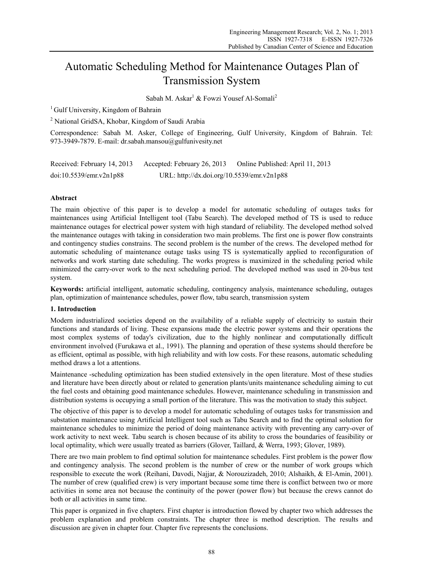# Automatic Scheduling Method for Maintenance Outages Plan of Transmission System

Sabah M. Askar<sup>1</sup> & Fowzi Yousef Al-Somali<sup>2</sup>

<sup>1</sup> Gulf University, Kingdom of Bahrain

<sup>2</sup> National GridSA, Khobar, Kingdom of Saudi Arabia

Correspondence: Sabah M. Asker, College of Engineering, Gulf University, Kingdom of Bahrain. Tel: 973-3949-7879. E-mail: dr.sabah.mansou@gulfunivesity.net

| Received: February 14, 2013 | Accepted: February 26, 2013                | Online Published: April 11, 2013 |
|-----------------------------|--------------------------------------------|----------------------------------|
| doi:10.5539/emr.v2n1p88     | URL: http://dx.doi.org/10.5539/emr.v2n1p88 |                                  |

# **Abstract**

The main objective of this paper is to develop a model for automatic scheduling of outages tasks for maintenances using Artificial Intelligent tool (Tabu Search). The developed method of TS is used to reduce maintenance outages for electrical power system with high standard of reliability. The developed method solved the maintenance outages with taking in consideration two main problems. The first one is power flow constraints and contingency studies constrains. The second problem is the number of the crews. The developed method for automatic scheduling of maintenance outage tasks using TS is systematically applied to reconfiguration of networks and work starting date scheduling. The works progress is maximized in the scheduling period while minimized the carry-over work to the next scheduling period. The developed method was used in 20-bus test system.

**Keywords:** artificial intelligent, automatic scheduling, contingency analysis, maintenance scheduling, outages plan, optimization of maintenance schedules, power flow, tabu search, transmission system

# **1. Introduction**

Modern industrialized societies depend on the availability of a reliable supply of electricity to sustain their functions and standards of living. These expansions made the electric power systems and their operations the most complex systems of today's civilization, due to the highly nonlinear and computationally difficult environment involved (Furukawa et al., 1991). The planning and operation of these systems should therefore be as efficient, optimal as possible, with high reliability and with low costs. For these reasons, automatic scheduling method draws a lot a attentions.

Maintenance -scheduling optimization has been studied extensively in the open literature. Most of these studies and literature have been directly about or related to generation plants/units maintenance scheduling aiming to cut the fuel costs and obtaining good maintenance schedules. However, maintenance scheduling in transmission and distribution systems is occupying a small portion of the literature. This was the motivation to study this subject.

The objective of this paper is to develop a model for automatic scheduling of outages tasks for transmission and substation maintenance using Artificial Intelligent tool such as Tabu Search and to find the optimal solution for maintenance schedules to minimize the period of doing maintenance activity with preventing any carry-over of work activity to next week. Tabu search is chosen because of its ability to cross the boundaries of feasibility or local optimality, which were usually treated as barriers (Glover, Taillard, & Werra, 1993; Glover, 1989).

There are two main problem to find optimal solution for maintenance schedules. First problem is the power flow and contingency analysis. The second problem is the number of crew or the number of work groups which responsible to execute the work (Reihani, Davodi, Najjar, & Norouzizadeh, 2010; Alshaikh, & El-Amin, 2001). The number of crew (qualified crew) is very important because some time there is conflict between two or more activities in some area not because the continuity of the power (power flow) but because the crews cannot do both or all activities in same time.

This paper is organized in five chapters. First chapter is introduction flowed by chapter two which addresses the problem explanation and problem constraints. The chapter three is method description. The results and discussion are given in chapter four. Chapter five represents the conclusions.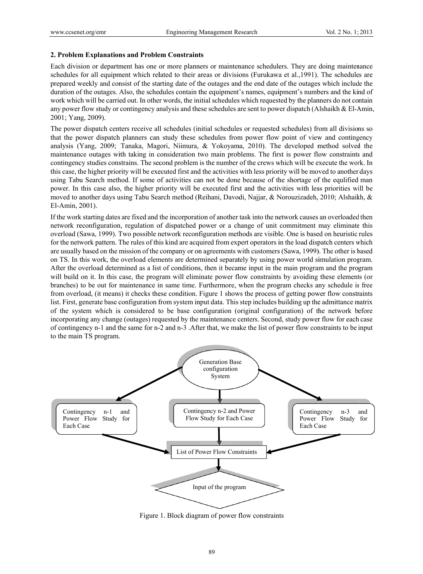#### 2. Problem Explanations and Problem Constraints

Each division or department has one or more planners or maintenance schedulers. They are doing maintenance schedules for all equipment which related to their areas or divisions (Furukawa et al.,1991). The schedules are prepared weekly and consist of the starting date of the outages and the end date of the outages which include the duration of the outages. Also, the schedules contain the equipment's names, equipment's numbers and the kind of work which will be carried out. In other words, the initial schedules which requested by the planners do not contain any power flow study or contingency analysis and these schedules are sent to power dispatch (Alshaikh & El-Amin, 2001; Yang, 2009).

The power dispatch centers receive all schedules (initial schedules or requested schedules) from all divisions so that the power dispatch planners can study these schedules from power flow point of view and contingency analysis (Yang, 2009; Tanaka, Magori, Niimura, & Yokoyama, 2010). The developed method solved the maintenance outages with taking in consideration two main problems. The first is power flow constraints and contingency studies constrains. The second problem is the number of the crews which will be execute the work. In this case, the higher priority will be executed first and the activities with less priority will be moved to another days using Tabu Search method. If some of activities can not be done because of the shortage of the equlified man power. In this case also, the higher priority will be executed first and the activities with less priorities will be moved to another days using Tabu Search method (Reihani, Davodi, Najjar, & Norouzizadeh, 2010; Alshaikh, & El-Amin, 2 2001).

If the work starting dates are fixed and the incorporation of another task into the network causes an overloaded then network reconfiguration, regulation of dispatched power or a change of unit commitment may eliminate this overload (Sawa, 1999). Two possible network reconfiguration methods are visible. One is based on heuristic rules for the network pattern. The rules of this kind are acquired from expert operators in the load dispatch centers which are usually based on the mission of the company or on agreements with customers (Sawa, 1999). The other is based on TS. In this work, the overload elements are determined separately by using power world simulation program. After the overload determined as a list of conditions, then it became input in the main program and the program will build on it. In this case, the program will eliminate power flow constraints by avoiding these elements (or branches) to be out for maintenance in same time. Furthermore, when the program checks any schedule is free from overload, (it means) it checks these condition. Figure 1 shows the process of getting power flow constraints list. First, generate base configuration from system input data. This step includes building up the admittance matrix of the system which is considered to be base configuration (original configuration) of the network before incorporating any change (outages) requested by the maintenance centers. Second, study power flow for each case of contingency n-1 and the same for n-2 and n-3. After that, we make the list of power flow constraints to be input to the main TS program.



1. Block diagram of power flow constraints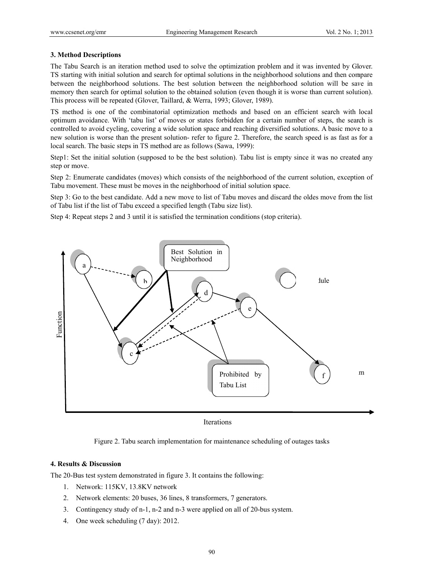## 3. Method Descriptions

The Tabu Search is an iteration method used to solve the optimization problem and it was invented by Glover. TS starting with initial solution and search for optimal solutions in the neighborhood solutions and then compare between the neighborhood solutions. The best solution between the neighborhood solution will be save in memory then search for optimal solution to the obtained solution (even though it is worse than current solution). This process will be repeated (Glover, Taillard, & Werra, 1993; Glover, 1989).

TS method is one of the combinatorial optimization methods and based on an efficient search with local optimum avoidance. With 'tabu list' of moves or states forbidden for a certain number of steps, the search is controlled to avoid cycling, covering a wide solution space and reaching diversified solutions. A basic move to a new solution is worse than the present solution- refer to figure 2. Therefore, the search speed is as fast as for a local search. The basic steps in TS method are as follows (Sawa, 1999):

Step1: Set the initial solution (supposed to be the best solution). Tabu list is empty since it was no created any step or move.

Step 2: Enumerate candidates (moves) which consists of the neighborhood of the current solution, exception of Tabu movement. These must be moves in the neighborhood of initial solution space.

Step 3: Go to the best candidate. Add a new move to list of Tabu moves and discard the oldes move from the list of Tabu list if the list of Tabu exceed a specified length (Tabu size list).

Step 4: Repeat steps 2 and 3 until it is satisfied the termination conditions (stop criteria).



**Iterations** 

Figure 2. Tabu search implementation for maintenance scheduling of outages tasks

# 4. Results & Discussion

The 20-Bus test system demonstrated in figure 3. It contains the following:

- 1. Network: 115KV, 13.8KV network
- 2. Network elements: 20 buses, 36 lines, 8 transformers, 7 generators.
- 3. Contingency study of n-1, n-2 and n-3 were applied on all of 20-bus system.
- 4. One week scheduling (7 day): 2012.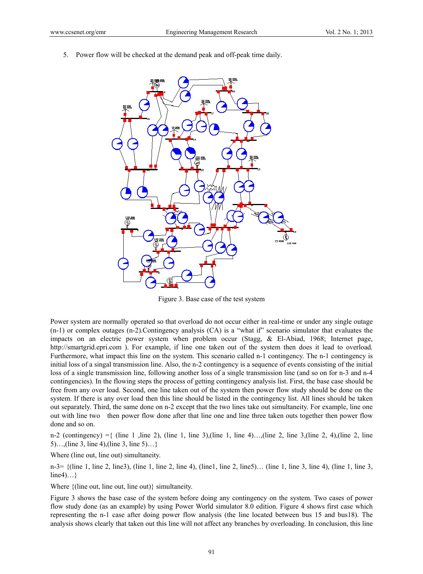5. Power flow will be checked at the demand peak and off-peak time daily.



Figure 3. Base case of the test system

Power system are normally operated so that overload do not occur either in real-time or under any single outage (n-1) or complex outages (n-2).Contingency analysis (CA) is a "what if" scenario simulator that evaluates the impacts on an electric power system when problem occur (Stagg, & El-Abiad, 1968; Internet page, http://smartgrid.epri.com ). For example, if line one taken out of the system then does it lead to overload. Furthermore, what impact this line on the system. This scenario called n-1 contingency. The n-1 contingency is initial loss of a singal transmission line. Also, the n-2 contingency is a sequence of events consisting of the initial loss of a single transmission line, following another loss of a single transmission line (and so on for n-3 and n-4 contingencies). In the flowing steps the process of getting contingency analysis list. First, the base case should be free from any over load. Second, one line taken out of the system then power flow study should be done on the system. If there is any over load then this line should be listed in the contingency list. All lines should be taken out separately. Third, the same done on n-2 except that the two lines take out simultaneity. For example, line one out with line two then power flow done after that line one and line three taken outs together then power flow done and so on.

n-2 (contingency)  $=\{$  (line 1 , line 2), (line 1, line 3),(line 1, line 4)…,(line 2, line 3,(line 2, 4),(line 2, line 5)…,(line 3, line 4),(line 3, line 5)…}

Where (line out, line out) simultaneity.

n-3= {(line 1, line 2, line3), (line 1, line 2, line 4), (line1, line 2, line5)… (line 1, line 3, line 4), (line 1, line 3,  $line4)$ ...}

Where {(line out, line out, line out)} simultaneity.

Figure 3 shows the base case of the system before doing any contingency on the system. Two cases of power flow study done (as an example) by using Power World simulator 8.0 edition. Figure 4 shows first case which representing the n-1 case after doing power flow analysis (the line located between bus 15 and bus18). The analysis shows clearly that taken out this line will not affect any branches by overloading. In conclusion, this line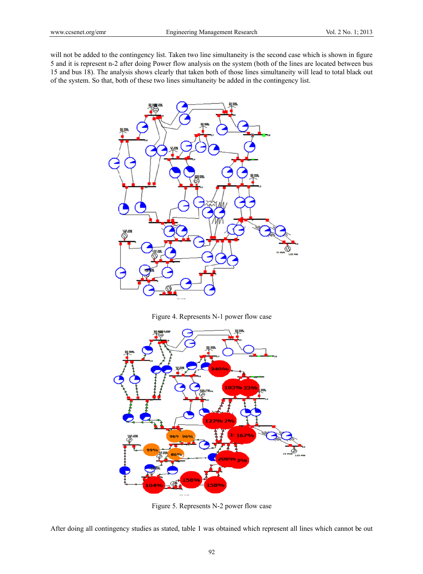will not be added to the contingency list. Taken two line simultaneity is the second case which is shown in figure 5 and it is represent n-2 after doing Power flow analysis on the system (both of the lines are located between bus 15 and bus 18). The analysis shows clearly that taken both of those lines simultaneity will lead to total black out of the system. So that, both of these two lines simultaneity be added in the contingency list.



Figure 4. Represents N-1 power flow case



Figure 5. Represents N-2 power flow case

After doing all contingency studies as stated, table 1 was obtained which represent all lines which cannot be out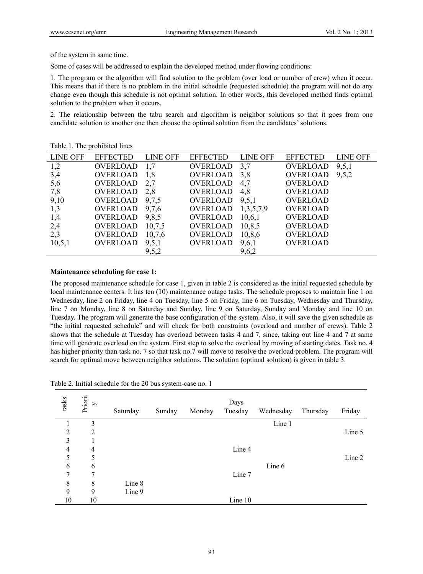of the system in same time.

Some of cases will be addressed to explain the developed method under flowing conditions:

1. The program or the algorithm will find solution to the problem (over load or number of crew) when it occur. This means that if there is no problem in the initial schedule (requested schedule) the program will not do any change even though this schedule is not optimal solution. In other words, this developed method finds optimal solution to the problem when it occurs.

2. The relationship between the tabu search and algorithm is neighbor solutions so that it goes from one candidate solution to another one then choose the optimal solution from the candidates' solutions.

| LINE OFF | EFFECTED LINE OFF                      |       | EFFECTED LINE OFF |       | EFFECTED LINE OFF           |  |
|----------|----------------------------------------|-------|-------------------|-------|-----------------------------|--|
| 1,2      | OVERLOAD 1,7                           |       | OVERLOAD 3.7      |       | OVERLOAD 9,5,1              |  |
| 3,4      | <b>OVERLOAD</b>                        | 1,8   |                   |       | OVERLOAD 3,8 OVERLOAD 9,5,2 |  |
| 5,6      | OVERLOAD 2,7 OVERLOAD 4,7 OVERLOAD     |       |                   |       |                             |  |
| 7,8      | OVERLOAD 2,8 OVERLOAD 4,8 OVERLOAD     |       |                   |       |                             |  |
| 9,10     | OVERLOAD 9,7,5 OVERLOAD 9,5,1 OVERLOAD |       |                   |       |                             |  |
| 1,3      | OVERLOAD $9,7,6$ OVERLOAD $1,3,5,7,9$  |       |                   |       | OVERLOAD                    |  |
| 1,4      | OVERLOAD 9,8,5 OVERLOAD 10,6,1         |       |                   |       | OVERLOAD                    |  |
| 2,4      | OVERLOAD 10,7,5                        |       | OVERLOAD 10,8,5   |       | OVERLOAD                    |  |
| 2,3      | OVERLOAD 10,7,6                        |       | OVERLOAD 10,8,6   |       | OVERLOAD                    |  |
| 10, 5, 1 | OVERLOAD 9,5,1                         |       | OVERLOAD 9,6,1    |       | OVERLOAD                    |  |
|          |                                        | 9,5,2 |                   | 9,6,2 |                             |  |

Table 1. The prohibited lines

## **Maintenance scheduling for case 1:**

The proposed maintenance schedule for case 1, given in table 2 is considered as the initial requested schedule by local maintenance centers. It has ten (10) maintenance outage tasks. The schedule proposes to maintain line 1 on Wednesday, line 2 on Friday, line 4 on Tuesday, line 5 on Friday, line 6 on Tuesday, Wednesday and Thursday, line 7 on Monday, line 8 on Saturday and Sunday, line 9 on Saturday, Sunday and Monday and line 10 on Tuesday. The program will generate the base configuration of the system. Also, it will save the given schedule as "the initial requested schedule" and will check for both constraints (overload and number of crews). Table 2 shows that the schedule at Tuesday has overload between tasks 4 and 7, since, taking out line 4 and 7 at same time will generate overload on the system. First step to solve the overload by moving of starting dates. Task no. 4 has higher priority than task no. 7 so that task no. 7 will move to resolve the overload problem. The program will search for optimal move between neighbor solutions. The solution (optimal solution) is given in table 3.

| tasks          | Priorit<br>y   | Saturday | Sunday | Monday | Days<br>Tuesday | Wednesday | Thursday | Friday |
|----------------|----------------|----------|--------|--------|-----------------|-----------|----------|--------|
|                | 3              |          |        |        |                 | Line 1    |          |        |
| $\overline{2}$ | $\overline{2}$ |          |        |        |                 |           |          | Line 5 |
| 3              | 1              |          |        |        |                 |           |          |        |
| $\overline{4}$ | 4              |          |        |        | Line 4          |           |          |        |
| 5              | 5              |          |        |        |                 |           |          | Line 2 |
| 6              | 6              |          |        |        |                 | Line 6    |          |        |
| 7              | 7              |          |        |        | Line 7          |           |          |        |
| 8              | 8              | Line 8   |        |        |                 |           |          |        |
| 9              | 9              | Line 9   |        |        |                 |           |          |        |
| 10             | 10             |          |        |        | Line 10         |           |          |        |
|                |                |          |        |        |                 |           |          |        |

Table 2. Initial schedule for the 20 bus system-case no. 1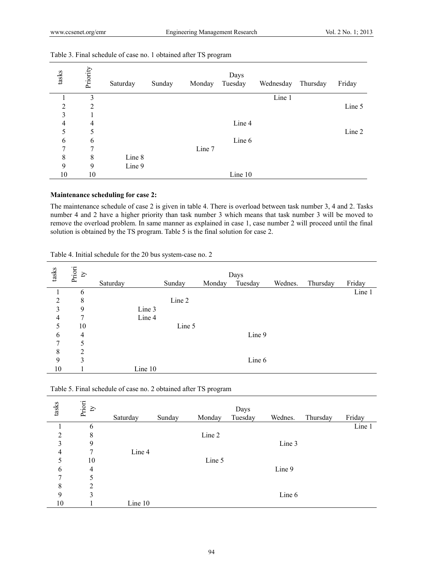| tasks          | Priority | Saturday | Sunday | Monday | Days<br>Tuesday | Wednesday | Thursday | Friday |
|----------------|----------|----------|--------|--------|-----------------|-----------|----------|--------|
|                | 3        |          |        |        |                 | Line 1    |          |        |
| $\overline{2}$ | 2        |          |        |        |                 |           |          | Line 5 |
| 3              |          |          |        |        |                 |           |          |        |
| 4              | 4        |          |        |        | Line 4          |           |          |        |
| 5              | 5        |          |        |        |                 |           |          | Line 2 |
| 6              | 6        |          |        |        | Line 6          |           |          |        |
| 7              | 7        |          |        | Line 7 |                 |           |          |        |
| 8              | 8        | Line 8   |        |        |                 |           |          |        |
| 9              | 9        | Line 9   |        |        |                 |           |          |        |
| 10             | 10       |          |        |        | Line 10         |           |          |        |

## Table 3. Final schedule of case no. 1 obtained after TS program

## **Maintenance scheduling for case 2:**

The maintenance schedule of case 2 is given in table 4. There is overload between task number 3, 4 and 2. Tasks number 4 and 2 have a higher priority than task number 3 which means that task number 3 will be moved to remove the overload problem. In same manner as explained in case 1, case number 2 will proceed until the final solution is obtained by the TS program. Table 5 is the final solution for case 2.

| tasks | Priori<br>Ŋ |          |        |        |         |         |          |        |
|-------|-------------|----------|--------|--------|---------|---------|----------|--------|
|       |             | Saturday | Sunday | Monday | Tuesday | Wednes. | Thursday | Friday |
|       | 6           |          |        |        |         |         |          | Line 1 |
| 2     | 8           |          | Line 2 |        |         |         |          |        |
| 3     | 9           | Line 3   |        |        |         |         |          |        |
| 4     | 7           | Line 4   |        |        |         |         |          |        |
| 5     | 10          |          | Line 5 |        |         |         |          |        |
| 6     | 4           |          |        |        | Line 9  |         |          |        |
| 7     | 5           |          |        |        |         |         |          |        |
| 8     | 2           |          |        |        |         |         |          |        |
| 9     | 3           |          |        |        | Line 6  |         |          |        |
| 10    |             | Line 10  |        |        |         |         |          |        |

Table 4. Initial schedule for the 20 bus system-case no. 2

| tasks          | Priori ${\rm t} {\rm y}$ | Saturday | Sunday | Monday | Days<br>Tuesday | Wednes. | Thursday | Friday |
|----------------|--------------------------|----------|--------|--------|-----------------|---------|----------|--------|
|                | 6                        |          |        |        |                 |         |          | Line 1 |
| $\overline{2}$ | 8                        |          |        | Line 2 |                 |         |          |        |
| 3              | 9                        |          |        |        |                 | Line 3  |          |        |
| $\overline{4}$ | 7                        | Line 4   |        |        |                 |         |          |        |
| 5              | 10                       |          |        | Line 5 |                 |         |          |        |
| 6              | 4                        |          |        |        |                 | Line 9  |          |        |
| 7              | 5                        |          |        |        |                 |         |          |        |
| 8              | $\overline{2}$           |          |        |        |                 |         |          |        |
| 9              | 3                        |          |        |        |                 | Line 6  |          |        |
| 10             |                          | Line 10  |        |        |                 |         |          |        |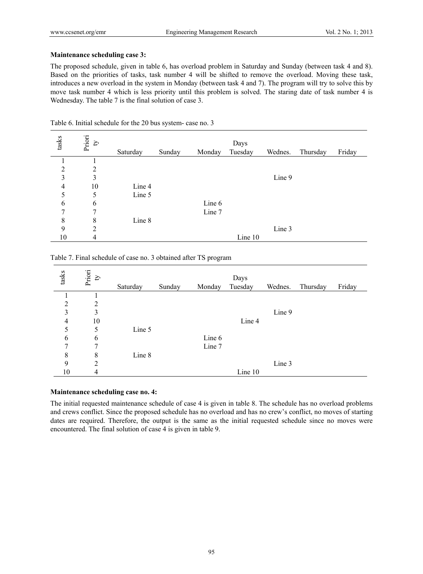## **Maintenance scheduling case 3:**

The proposed schedule, given in table 6, has overload problem in Saturday and Sunday (between task 4 and 8). Based on the priorities of tasks, task number 4 will be shifted to remove the overload. Moving these task, introduces a new overload in the system in Monday (between task 4 and 7). The program will try to solve this by move task number 4 which is less priority until this problem is solved. The staring date of task number 4 is Wednesday. The table 7 is the final solution of case 3.

| tasks          | Priori<br>$\mathfrak{D}$ | Saturday | Sunday | Monday | Days<br>Tuesday | Wednes. | Thursday | Friday |
|----------------|--------------------------|----------|--------|--------|-----------------|---------|----------|--------|
|                |                          |          |        |        |                 |         |          |        |
| $\overline{2}$ | $\overline{2}$           |          |        |        |                 |         |          |        |
| 3              | 3                        |          |        |        |                 | Line 9  |          |        |
| 4              | 10                       | Line 4   |        |        |                 |         |          |        |
| 5              | 5                        | Line 5   |        |        |                 |         |          |        |
| 6              | 6                        |          |        | Line 6 |                 |         |          |        |
| 7              | 7                        |          |        | Line 7 |                 |         |          |        |
| 8              | 8                        | Line 8   |        |        |                 |         |          |        |
| 9              | $\overline{2}$           |          |        |        |                 | Line 3  |          |        |
| 10             | $\overline{4}$           |          |        |        | Line 10         |         |          |        |

Table 6. Initial schedule for the 20 bus system- case no. 3

Table 7. Final schedule of case no. 3 obtained after TS program

| tasks          | Priori<br>$\boldsymbol{\Sigma}$ | Saturday | Sunday | Monday | Days<br>Tuesday | Wednes. | Thursday | Friday |
|----------------|---------------------------------|----------|--------|--------|-----------------|---------|----------|--------|
|                |                                 |          |        |        |                 |         |          |        |
| $\overline{2}$ | 2                               |          |        |        |                 |         |          |        |
| 3              | 3                               |          |        |        |                 | Line 9  |          |        |
| $\overline{4}$ | 10                              |          |        |        | Line 4          |         |          |        |
| 5              | 5                               | Line 5   |        |        |                 |         |          |        |
| 6              | 6                               |          |        | Line 6 |                 |         |          |        |
| 7              | 7                               |          |        | Line 7 |                 |         |          |        |
| 8              | 8                               | Line 8   |        |        |                 |         |          |        |
| 9              | 2                               |          |        |        |                 | Line 3  |          |        |
| 10             | 4                               |          |        |        | Line 10         |         |          |        |

#### **Maintenance scheduling case no. 4:**

The initial requested maintenance schedule of case 4 is given in table 8. The schedule has no overload problems and crews conflict. Since the proposed schedule has no overload and has no crew's conflict, no moves of starting dates are required. Therefore, the output is the same as the initial requested schedule since no moves were encountered. The final solution of case 4 is given in table 9.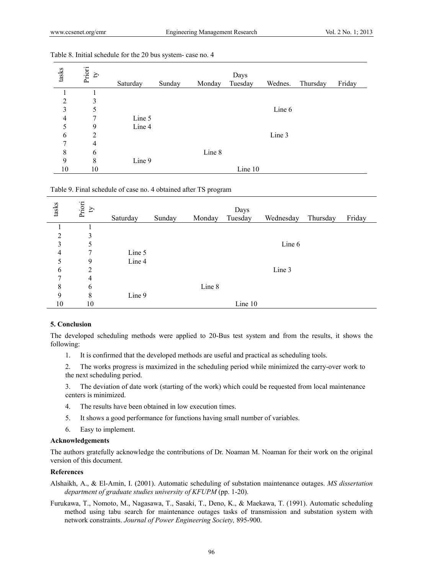| tasks          | Priori<br>$\boldsymbol{\Sigma}$ | Saturday | Sunday | Monday | Days<br>Tuesday | Wednes. | Thursday | Friday |
|----------------|---------------------------------|----------|--------|--------|-----------------|---------|----------|--------|
|                |                                 |          |        |        |                 |         |          |        |
| 2              | 3                               |          |        |        |                 |         |          |        |
| 3              | 5                               |          |        |        |                 | Line 6  |          |        |
| $\overline{4}$ | 7                               | Line 5   |        |        |                 |         |          |        |
| 5              | 9                               | Line 4   |        |        |                 |         |          |        |
| 6              | 2                               |          |        |        |                 | Line 3  |          |        |
| 7              | $\overline{4}$                  |          |        |        |                 |         |          |        |
| 8              | 6                               |          |        | Line 8 |                 |         |          |        |
| 9              | 8                               | Line 9   |        |        |                 |         |          |        |
| 10             | 10                              |          |        |        | Line 10         |         |          |        |

#### Table 8. Initial schedule for the 20 bus system- case no. 4

Table 9. Final schedule of case no. 4 obtained after TS program

| tasks          | Priori<br>Ą | Saturday | Sunday | Monday | Days<br>Tuesday | Wednesday | Thursday | Friday |
|----------------|-------------|----------|--------|--------|-----------------|-----------|----------|--------|
|                |             |          |        |        |                 |           |          |        |
| $\overline{2}$ | 3           |          |        |        |                 |           |          |        |
| 3              | 5           |          |        |        |                 | Line 6    |          |        |
| 4              |             | Line 5   |        |        |                 |           |          |        |
| 5              | 9           | Line 4   |        |        |                 |           |          |        |
| 6              | 2           |          |        |        |                 | Line 3    |          |        |
| 7              | 4           |          |        |        |                 |           |          |        |
| 8              | 6           |          |        | Line 8 |                 |           |          |        |
| 9              | 8           | Line 9   |        |        |                 |           |          |        |
| 10             | 10          |          |        |        | Line 10         |           |          |        |

# **5. Conclusion**

The developed scheduling methods were applied to 20-Bus test system and from the results, it shows the following:

- 1. It is confirmed that the developed methods are useful and practical as scheduling tools.
- 2. The works progress is maximized in the scheduling period while minimized the carry-over work to the next scheduling period.

3. The deviation of date work (starting of the work) which could be requested from local maintenance centers is minimized.

- 4. The results have been obtained in low execution times.
- 5. It shows a good performance for functions having small number of variables.
- 6. Easy to implement.

#### **Acknowledgements**

The authors gratefully acknowledge the contributions of Dr. Noaman M. Noaman for their work on the original version of this document.

#### **References**

Alshaikh, A., & El-Amin, I. (2001). Automatic scheduling of substation maintenance outages. *MS dissertation department of graduate studies university of KFUPM* (pp. 1-20).

Furukawa, T., Nomoto, M., Nagasawa, T., Sasaki, T., Deno, K., & Maekawa, T. (1991). Automatic scheduling method using tabu search for maintenance outages tasks of transmission and substation system with network constraints. *Journal of Power Engineering Society,* 895-900.